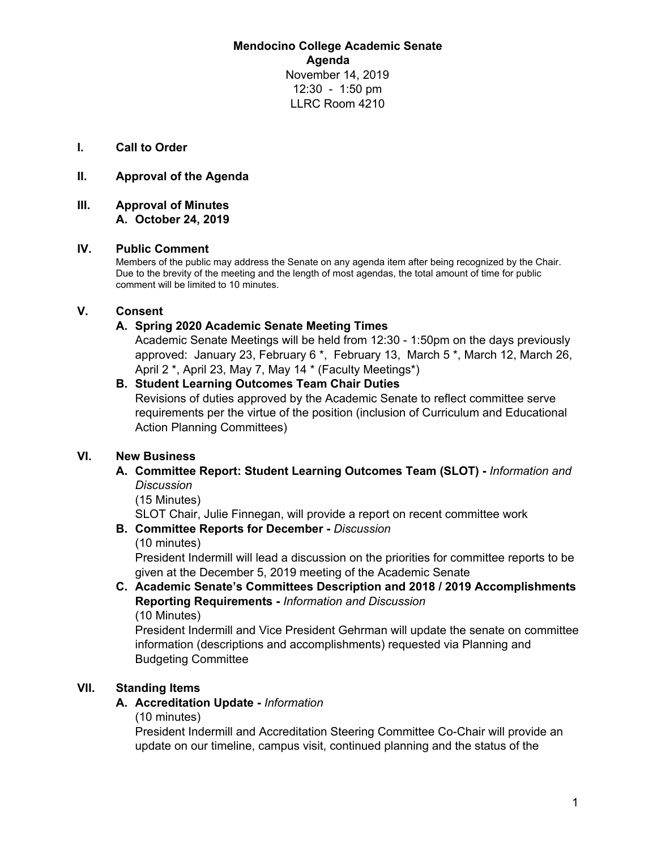**Mendocino College Academic Senate Agenda** November 14, 2019 12:30 - 1:50 pm LLRC Room 4210

**I. Call to Order**

#### **II. Approval of the Agenda**

**III. Approval of Minutes A. October 24, 2019**

#### **IV. Public Comment**

Members of the public may address the Senate on any agenda item after being recognized by the Chair. Due to the brevity of the meeting and the length of most agendas, the total amount of time for public comment will be limited to 10 minutes.

#### **V. Consent**

#### **A. Spring 2020 Academic Senate Meeting Times**

Academic Senate Meetings will be held from 12:30 - 1:50pm on the days previously approved: January 23, February 6 \*, February 13, March 5 \*, March 12, March 26, April 2 \*, April 23, May 7, May 14 \* (Faculty Meetings\*)

## **B. Student Learning Outcomes Team Chair Duties**

Revisions of duties approved by the Academic Senate to reflect committee serve requirements per the virtue of the position (inclusion of Curriculum and Educational Action Planning Committees)

#### **VI. New Business**

#### **A. Committee Report: Student Learning Outcomes Team (SLOT) -** *Information and Discussion*

(15 Minutes)

SLOT Chair, Julie Finnegan, will provide a report on recent committee work

#### **B. Committee Reports for December -** *Discussion*

(10 minutes)

President Indermill will lead a discussion on the priorities for committee reports to be given at the December 5, 2019 meeting of the Academic Senate

**C. Academic Senate's Committees Description and 2018 / 2019 Accomplishments Reporting Requirements -** *Information and Discussion* (10 Minutes)

President Indermill and Vice President Gehrman will update the senate on committee information (descriptions and accomplishments) requested via Planning and Budgeting Committee

#### **VII. Standing Items**

#### **A. Accreditation Update -** *Information*

(10 minutes)

President Indermill and Accreditation Steering Committee Co-Chair will provide an update on our timeline, campus visit, continued planning and the status of the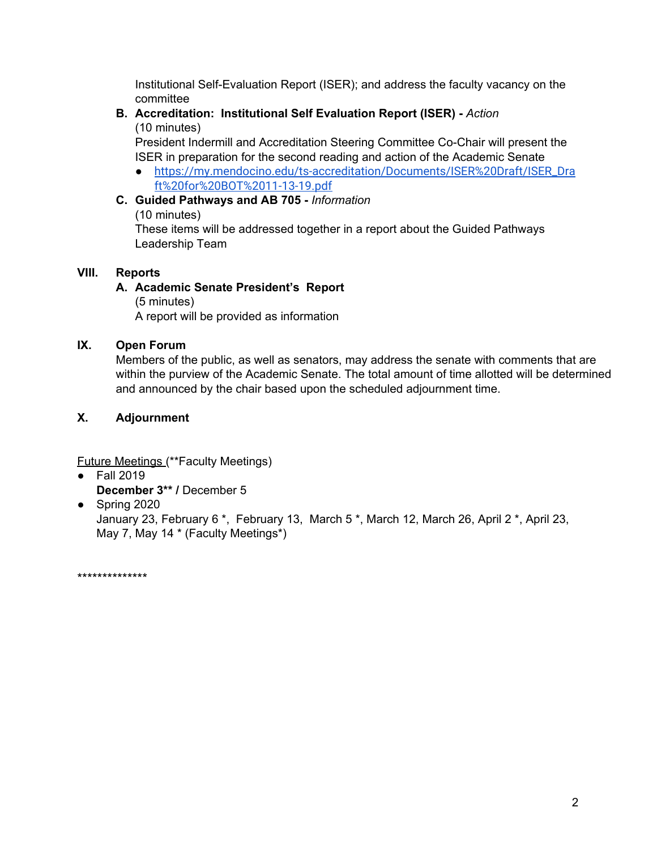Institutional Self-Evaluation Report (ISER); and address the faculty vacancy on the committee

## **B. Accreditation: Institutional Self Evaluation Report (ISER) -** *Action* (10 minutes)

President Indermill and Accreditation Steering Committee Co-Chair will present the ISER in preparation for the second reading and action of the Academic Senate

● [https://my.mendocino.edu/ts-accreditation/Documents/ISER%20Draft/ISER\\_Dra](https://my.mendocino.edu/ts-accreditation/Documents/ISER%20Draft/ISER_Draft%20for%20BOT%2011-13-19.pdf) [ft%20for%20BOT%2011-13-19.pdf](https://my.mendocino.edu/ts-accreditation/Documents/ISER%20Draft/ISER_Draft%20for%20BOT%2011-13-19.pdf)

## **C. Guided Pathways and AB 705 -** *Information*

(10 minutes)

These items will be addressed together in a report about the Guided Pathways Leadership Team

## **VIII. Reports**

# **A. Academic Senate President's Report**

(5 minutes) A report will be provided as information

## **IX. Open Forum**

Members of the public, as well as senators, may address the senate with comments that are within the purview of the Academic Senate. The total amount of time allotted will be determined and announced by the chair based upon the scheduled adjournment time.

## **X. Adjournment**

Future Meetings (\*\*Faculty Meetings)

- Fall 2019 **December 3\*\* /** December 5
- Spring 2020

January 23, February 6 \*, February 13, March 5 \*, March 12, March 26, April 2 \*, April 23, May 7, May 14 \* (Faculty Meetings\*)

\*\*\*\*\*\*\*\*\*\*\*\*\*\*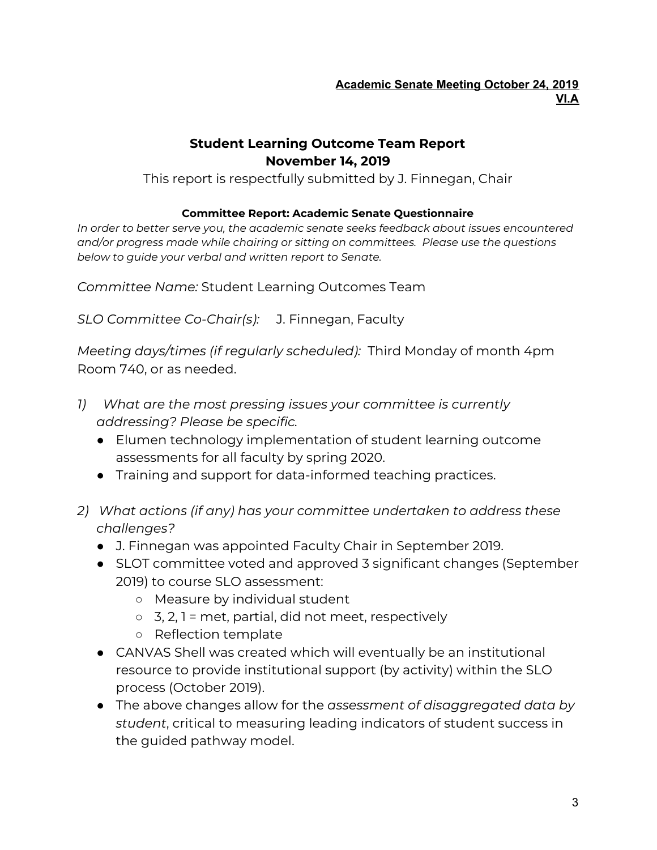# **Student Learning Outcome Team Report November 14, 2019**

This report is respectfully submitted by J. Finnegan, Chair

# **Committee Report: Academic Senate Questionnaire**

*In order to better serve you, the academic senate seeks feedback about issues encountered and/or progress made while chairing or sitting on committees. Please use the questions below to guide your verbal and written report to Senate.*

*Committee Name:* Student Learning Outcomes Team

*SLO Committee Co-Chair(s):* J. Finnegan, Faculty

*Meeting days/times (if regularly scheduled):* Third Monday of month 4pm Room 740, or as needed.

- *1) What are the most pressing issues your committee is currently addressing? Please be specific.*
	- Elumen technology implementation of student learning outcome assessments for all faculty by spring 2020.
	- Training and support for data-informed teaching practices.
- *2) What actions (if any) has your committee undertaken to address these challenges?*
	- J. Finnegan was appointed Faculty Chair in September 2019.
	- SLOT committee voted and approved 3 significant changes (September 2019) to course SLO assessment:
		- Measure by individual student
		- $\circ$  3, 2, 1 = met, partial, did not meet, respectively
		- Reflection template
	- CANVAS Shell was created which will eventually be an institutional resource to provide institutional support (by activity) within the SLO process (October 2019).
	- The above changes allow for the *assessment of disaggregated data by student*, critical to measuring leading indicators of student success in the guided pathway model.